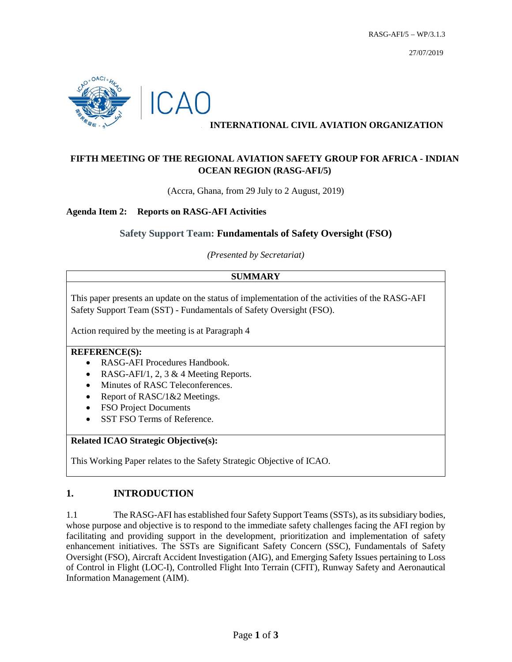

## **INTERNATIONAL CIVIL AVIATION ORGANIZATION**

# **FIFTH MEETING OF THE REGIONAL AVIATION SAFETY GROUP FOR AFRICA - INDIAN OCEAN REGION (RASG-AFI/5)**

(Accra, Ghana, from 29 July to 2 August, 2019)

### **Agenda Item 2: Reports on RASG-AFI Activities**

## **Safety Support Team: Fundamentals of Safety Oversight (FSO)**

*(Presented by Secretariat)*

### **SUMMARY**

This paper presents an update on the status of implementation of the activities of the RASG-AFI Safety Support Team (SST) - Fundamentals of Safety Oversight (FSO).

Action required by the meeting is at Paragraph 4

#### **REFERENCE(S):**

- RASG-AFI Procedures Handbook.
- RASG-AFI/1, 2, 3 & 4 Meeting Reports.
- Minutes of RASC Teleconferences.
- Report of RASC/1&2 Meetings.
- FSO Project Documents
- SST FSO Terms of Reference.

### **Related ICAO Strategic Objective(s):**

This Working Paper relates to the Safety Strategic Objective of ICAO.

## **1. INTRODUCTION**

1.1 The RASG-AFI has established four Safety Support Teams (SSTs), as its subsidiary bodies, whose purpose and objective is to respond to the immediate safety challenges facing the AFI region by facilitating and providing support in the development, prioritization and implementation of safety enhancement initiatives. The SSTs are Significant Safety Concern (SSC), Fundamentals of Safety Oversight (FSO), Aircraft Accident Investigation (AIG), and Emerging Safety Issues pertaining to Loss of Control in Flight (LOC-I), Controlled Flight Into Terrain (CFIT), Runway Safety and Aeronautical Information Management (AIM).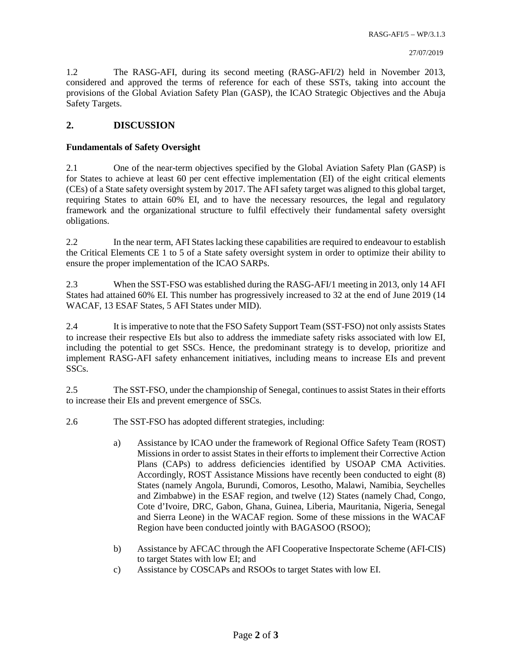1.2 The RASG-AFI, during its second meeting (RASG-AFI/2) held in November 2013, considered and approved the terms of reference for each of these SSTs, taking into account the provisions of the Global Aviation Safety Plan (GASP), the ICAO Strategic Objectives and the Abuja Safety Targets.

### **2. DISCUSSION**

#### **Fundamentals of Safety Oversight**

2.1 One of the near-term objectives specified by the Global Aviation Safety Plan (GASP) is for States to achieve at least 60 per cent effective implementation (EI) of the eight critical elements (CEs) of a State safety oversight system by 2017. The AFI safety target was aligned to this global target, requiring States to attain 60% EI, and to have the necessary resources, the legal and regulatory framework and the organizational structure to fulfil effectively their fundamental safety oversight obligations.

2.2 In the near term, AFI States lacking these capabilities are required to endeavour to establish the Critical Elements CE 1 to 5 of a State safety oversight system in order to optimize their ability to ensure the proper implementation of the ICAO SARPs.

2.3 When the SST-FSO was established during the RASG-AFI/1 meeting in 2013, only 14 AFI States had attained 60% EI. This number has progressively increased to 32 at the end of June 2019 (14 WACAF, 13 ESAF States, 5 AFI States under MID).

2.4 It is imperative to note that the FSO Safety Support Team (SST-FSO) not only assists States to increase their respective EIs but also to address the immediate safety risks associated with low EI, including the potential to get SSCs. Hence, the predominant strategy is to develop, prioritize and implement RASG-AFI safety enhancement initiatives, including means to increase EIs and prevent SSCs.

2.5 The SST-FSO, under the championship of Senegal, continues to assist States in their efforts to increase their EIs and prevent emergence of SSCs.

- 2.6 The SST-FSO has adopted different strategies, including:
	- a) Assistance by ICAO under the framework of Regional Office Safety Team (ROST) Missions in order to assist States in their efforts to implement their Corrective Action Plans (CAPs) to address deficiencies identified by USOAP CMA Activities. Accordingly, ROST Assistance Missions have recently been conducted to eight (8) States (namely Angola, Burundi, Comoros, Lesotho, Malawi, Namibia, Seychelles and Zimbabwe) in the ESAF region, and twelve (12) States (namely Chad, Congo, Cote d'Ivoire, DRC, Gabon, Ghana, Guinea, Liberia, Mauritania, Nigeria, Senegal and Sierra Leone) in the WACAF region. Some of these missions in the WACAF Region have been conducted jointly with BAGASOO (RSOO);
	- b) Assistance by AFCAC through the AFI Cooperative Inspectorate Scheme (AFI-CIS) to target States with low EI; and
	- c) Assistance by COSCAPs and RSOOs to target States with low EI.